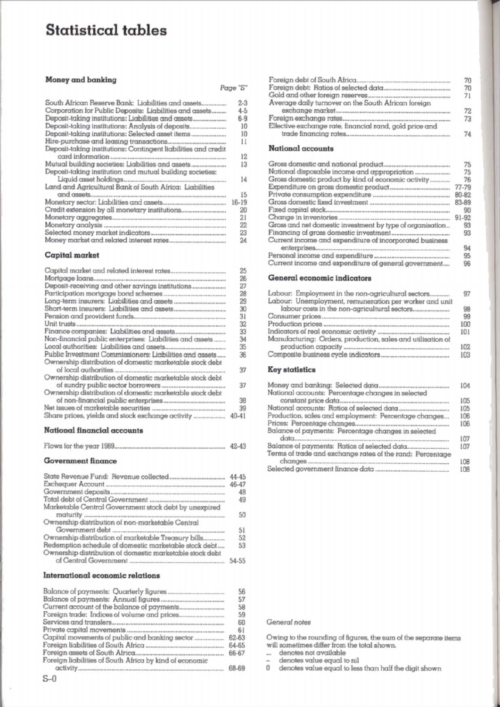## Statistical tables

#### Money and banking

| South African Reserve Bank: Liabilities and assets             | $2-3$     |
|----------------------------------------------------------------|-----------|
| Corporation for Public Deposits: Liabilities and assets        | $4 - 5$   |
| Deposit-taking institutions: Liabilities and assets            | 6.9       |
|                                                                | 10        |
|                                                                | 10        |
|                                                                | 11        |
| Deposit-taking institutions: Contingent liabilities and credit |           |
|                                                                | 12        |
|                                                                | 13        |
| Deposit-taking institution and mutual building societies:      |           |
|                                                                | 14        |
| Land and Agricultural Bank of South Africa: Liabilities        |           |
|                                                                | 15        |
|                                                                | $16 - 19$ |
|                                                                | 20        |
|                                                                | 21        |
|                                                                | 22        |
|                                                                | 23        |
|                                                                | 24        |

#### Capital market

|                                                          | 25        |
|----------------------------------------------------------|-----------|
|                                                          | 26        |
|                                                          | 27        |
|                                                          | 28        |
|                                                          | 29        |
|                                                          | 30        |
|                                                          | 31        |
|                                                          | 32        |
|                                                          | 33        |
| Non-financial public enterprises: Liabilities and assets | 34        |
|                                                          | 35        |
| Public Investment Commissioners: Liabilities and assets  | 36        |
| Ownership distribution of domestic marketable stock debt |           |
|                                                          | 37        |
| Ownership distribution of domestic marketable stock debt |           |
|                                                          | 37        |
| Ownership distribution of domestic marketable stock debt |           |
|                                                          | 38        |
|                                                          | 39        |
| Share prices, yields and stock exchange activity         | $40 - 41$ |
|                                                          |           |

#### **National financial accounts**

|  |  | Flows for the year 1989 | $.42-43$ |
|--|--|-------------------------|----------|
|--|--|-------------------------|----------|

#### **Government** finance

|                                                                                                                   | 44-45 |
|-------------------------------------------------------------------------------------------------------------------|-------|
|                                                                                                                   | 46-47 |
|                                                                                                                   | 48    |
|                                                                                                                   | 49    |
| Marketable Central Government stock debt by unexpired                                                             | 50    |
| Ownership distribution of non-marketable Central                                                                  | 51    |
| Ownership distribution of marketable Treasury bills                                                               | 52    |
| Redemption schedule of domestic marketable stock debt<br>Ownership distribution of domestic marketable stock debt | 53    |
|                                                                                                                   | 54-55 |

#### International economic relations

| Capital movements of public and banking sector<br>Foreign liabilities of South Africa by kind of economic | 56    |
|-----------------------------------------------------------------------------------------------------------|-------|
|                                                                                                           | 57    |
|                                                                                                           | 58    |
|                                                                                                           | 59    |
|                                                                                                           | 60    |
|                                                                                                           | 61    |
|                                                                                                           | 62-63 |
|                                                                                                           | 64-65 |
|                                                                                                           | 66-67 |
|                                                                                                           |       |
|                                                                                                           | 68-69 |

#### National accounts

Page "S"

|                                                           | 75        |
|-----------------------------------------------------------|-----------|
|                                                           | 75        |
| Gross domestic product by kind of economic activity       | 76        |
|                                                           | 77-79     |
|                                                           | 80-82     |
|                                                           | 83-89     |
|                                                           | 90        |
|                                                           | $91 - 92$ |
| Gross and net domestic investment by type of organisation | 93        |
|                                                           | 93        |
| Current income and expenditure of incorporated business   |           |
|                                                           | 94        |
|                                                           | 95        |
| Current income and expenditure of general government      | 96        |

#### General economic indicators

| Labour: Employment in the non-agricultural sectors          | 97         |
|-------------------------------------------------------------|------------|
| Labour: Unemployment, remuneration per worker and unit      | 98         |
|                                                             | 99         |
|                                                             | <b>IOC</b> |
|                                                             | 101        |
| Manufacturing: Orders, production, sales and utilisation of | 102        |
|                                                             | 103        |
| <b>Key statistics</b>                                       |            |

|                                                           | 104 |
|-----------------------------------------------------------|-----|
| National accounts: Percentage changes in selected         |     |
|                                                           | 105 |
|                                                           | 105 |
| Production, sales and employment: Percentage changes      | 106 |
|                                                           | 106 |
| Balance of payments: Percentage changes in selected       | 107 |
|                                                           | 107 |
| Terms of trade and exchange rates of the rand: Percentage | 108 |
|                                                           | 108 |

#### General notes

Owing to the rounding of figures, the sum of the separate items will sometimes differ from the total shown.

... denotes not available

denotes value equal to nil ÷

0 denotes value equal to less than half the digit shown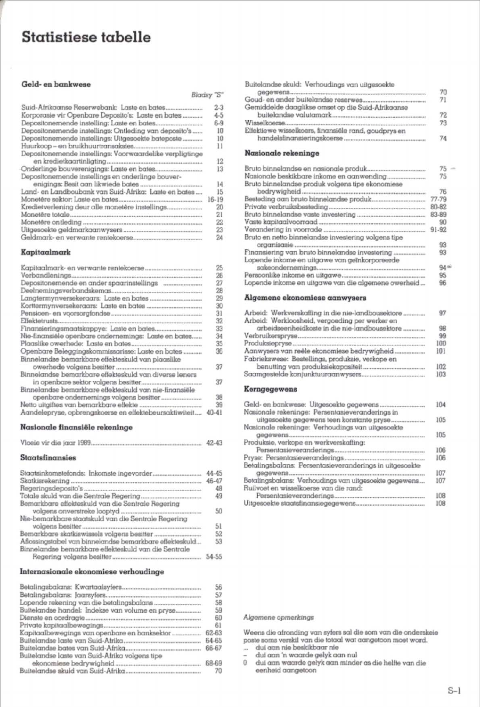## Statistiese tabelle

#### Geld- en bankwese

 $\overline{B}$ 

|                                                          | 2.3       |
|----------------------------------------------------------|-----------|
| Korporasie vir Openbare Deposito's: Laste en bates       | $4 - 5$   |
|                                                          | $6 - 9$   |
| Depositonemende instellings: Ontleding van deposito's    | 10        |
| Depositonemende instellings: Uitgesoekte bateposte       | 10        |
|                                                          | 11        |
| Depositonemende instellings: Voorwaardelike verpligtinge |           |
|                                                          | 12        |
|                                                          | 13        |
| Depositonemende instellings en onderlinge bouver-        |           |
|                                                          | 14        |
| Land- en Landboubank van Suid-Afrika: Laste en bates     | 15        |
|                                                          | $16 - 19$ |
|                                                          |           |
| Kredietverlening deur alle monetêre instellings          | 20        |
|                                                          | 21        |
|                                                          | 22        |
|                                                          | 23        |
| Galdmark, an varwante rantakoarea.                       | 24        |

#### Kapitaalmark

|                                                        | 25        |
|--------------------------------------------------------|-----------|
|                                                        | 26        |
|                                                        | 27        |
|                                                        | 28        |
|                                                        | 29        |
|                                                        | 30        |
|                                                        | 31        |
|                                                        | 32        |
|                                                        | 33        |
| Nie-finansiële openbare ondernemings: Laste en bates   | 34        |
|                                                        | 35        |
| Openbare Beleggingskommissarisse: Laste en bates       | 36        |
| Binnelandse bemarkbare effekteskuld van plaaslike      |           |
|                                                        | 37        |
| Binnelandse bemarkbare effekteskuld van diverse leners |           |
|                                                        | 37        |
| Binnelandse bemarkbare effekteskuld van nie-finansiële |           |
|                                                        | 38        |
|                                                        | 39        |
| Aandelepryse, opbrenaskoerse en effektebeursaktiwiteit | $40 - 41$ |

#### Nasionale finansiële rekeninge

| Vloeie vir die iaar 1989. |  |  |
|---------------------------|--|--|
|                           |  |  |

#### Staatsfinansies

| 44-45 |
|-------|
| 46-47 |
| 48    |
| 49    |
|       |
| 50    |
|       |
| 51    |
| 52    |
| 53    |
|       |
| 54-55 |
|       |

#### Internasionale ekonomiese verhoudinge

|                                                 | 56    |
|-------------------------------------------------|-------|
|                                                 | 57    |
|                                                 | 58    |
| Buitelandse handel: Indekse van volume en pryse | 59    |
|                                                 | 60    |
|                                                 | 61    |
| Kapitaalbewegings van openbare en banksektor    | 62-63 |
|                                                 | 64-65 |
|                                                 | 66-67 |
| Buitelandse laste van Suid-Afrika volgens tipe  |       |
|                                                 | 68-69 |
|                                                 |       |

| Buitelandse skuld: Verhoudings van uitgesoekte       | 70 |
|------------------------------------------------------|----|
| Goud- en ander buitelandse reserwes                  | 71 |
| Gemiddelde daaglikse omset op die Suid-Afrikaanse    |    |
|                                                      |    |
|                                                      | 73 |
| Effektiewe wisselkoers, finansiële rand, goudprys en |    |
|                                                      |    |

#### Nasionale rekeninge

|                                                      | 75               |  |
|------------------------------------------------------|------------------|--|
| Nasionale beskikbare inkome en aanwending            | 75               |  |
| Bruto binnelandse produk volgens tipe ekonomiese     |                  |  |
|                                                      | 76               |  |
|                                                      | 77-79            |  |
|                                                      | 80-82            |  |
|                                                      | 83-89            |  |
|                                                      | 90               |  |
|                                                      | 91-92            |  |
| Bruto en netto binnelandse investering volgens tipe  |                  |  |
|                                                      | 93               |  |
|                                                      | 93               |  |
| Lopende inkome en uitgawe van geïnkorporeerde        |                  |  |
|                                                      | 94 <sup>th</sup> |  |
|                                                      | 95               |  |
| Longado inkomo on uiterrwo van die aksemane owerheld | <b>QR</b>        |  |

#### Algemene ekonomiese aanwysers

| Arbeid: Werkverskaffing in die nie-landbousektore                                               | 97  |
|-------------------------------------------------------------------------------------------------|-----|
| Arbeid: Werkloosheid, vergoeding per werker en<br>arbeidseenheidkoste in die nie-landbousektore | 98  |
|                                                                                                 | 99  |
|                                                                                                 | 100 |
| Aanwysers van reële ekonomiese bedrywigheid                                                     | 101 |
| Fabriekswese: Bestellings, produksie, verkope en                                                | 102 |
|                                                                                                 | 103 |
| Kerngegewens                                                                                    |     |
|                                                                                                 |     |

| 11.14 |
|-------|
|       |
| 105   |
|       |
| 105   |
|       |
| 106   |
| 106   |
|       |
| 107   |
| 107   |
|       |
| 108   |
| 108   |
|       |

#### Algemene opmerkings

Weens die afronding van sylers sal die som van die onderskeie<br>poste soms verskil van die totaal wat aangetoon moet word.

poses sons versau van de nouvel was dangesoon moet word.<br>
... dui aan 'n waarde gelyk aan nul<br>
0 dui aan 'n waarde gelyk aan nul<br>
0 dui aan waarde gelyk aan minder as die helite van die eenheid aangetoon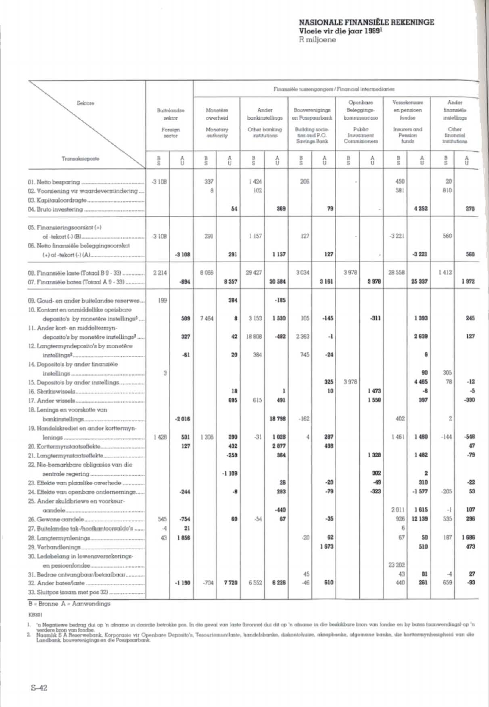#### NASIONALE FINANSIËLE REKENINGE Vloeie vir die jaar 1989!

### R miljoene

Pinamatèle tuasengongers / Financial intermediaries Soldens Openhemi Verselssenen Ander Buttalemolas Monather Anchor Recommeninieurs Relaccinna en nemtigen finanziale sektor owerheid bankingtellings en Posspaarbank fondse instellings kommissorisse Other banking Building o ters and Foreign Monetary Disklas Cities ties and P.O. Investment sector quthority institutions Pension financial Savings Boni Commisioners funds institutions Transaissiencete  $\frac{1}{6}$ ô  $\frac{1}{6}$  $\frac{A}{U}$  $\frac{B}{2}$  $\frac{A}{11}$  $rac{B}{2}$ ð 目向 Δ  $\frac{B}{S}$  $\frac{A}{11}$  $rac{B}{2}$ ô 01. Netto besparing ..  $-3108$ 337  $1424$ 206 450 20 02. Voorsiening vir waardevermindering  $\overline{\phantom{a}}$ 102 SRI  $R10$ 03. Kapitaaloordragte. 54 369 79 4 2 5 2 270 04. Bruto investering 05. Finansieringsoorskot (+) of -tekort (-) (B)...  $-3108$ 291 1 157 127  $-3221$ 560 05. Netto finansiële beleggingsoorskot  $(+)$  of -tekort  $(.)$  (A).  $-3108$ 291 1157 127  $-3221$ 560 08. Finansièle laste (Totaal B 9 - 33) 2214 8.066 29 427 3034 3 978 28 558  $1412$  $-894$ 8 3 5 7 30 584  $3161$ 3978 25 337 1972 07. Finansiële bates (Totaal A 9 - 33) ... 09. Goud- en ander buitelandse reserwes 199 384  $-185$ 10. Kontant en onmiddellike opeisbare deposito's by monetere instellings<sup>2</sup>. 509 7 4 6 4 8 3153 1 5 3 0 105  $-145$  $-311$ 1393 245 11. Ander kort- en middeltermyn-18,808  $-482$ 2839 127 deposito's by monetère instellings<sup>2</sup> 327  $42$ 2.363  $-1$ 12. Langtermyndeposito's by monetêre instellings<sup>2</sup>.  $-61$  $20$ 384 745  $-24$  $\overline{6}$ 14. Deposito's by ander finansiële instellings.  $\overline{3}$ 90 305 15. Deposito's by ander instellings.  $325$ 3.978 4 465  $78$  $-12$  $1473$  $\mathbf{A}$ 16. Skatkiswissels.  $18$ h, 10  $\mathbf{R}$ 1 558 397  $-330$ 17 Ander wissels cos 615 491 18. Lenings en voorskotte van bankinstellings.  $-2.018$ 18798  $-162$ 402  $\overline{z}$ 19. Handelskrediet en ander korttermyn lenings. 1428 531 1306 390  $-31$ 1028 è 287 1.461 1 480  $-144$  $-548$ 20. Korttermynstgatseffekte. 127 432 2877 498  $47$ 21. Langtermynstaatseffekte...  $-259$ 364 1.32R 1,482  $-79$ 22. Nie-bemarkbare obligasies van die sentrale regering.  $-1109$ 302  $\overline{2}$  $-49$ 310  $-22$ 23. Effekte van plaaslike owerhede  $26$  $-20$  $-323$  $.944$ -8 283  $-79$  $-1577$  $-205$ 53 24. Effekte van openbare ondernemings. 25. Ander skuldbriewe en voorkeur- $-440$ 1615  $\overline{a}$ 107 aandele...  $2011$ 26. Gewone aundele. 545  $-754$ 60  $.54$ 67  $-35$ 926 12 139 535 296 27. Buitelandse tak-/hoofkantoorsaldo's ..  $21$ ŧ  $\mathcal{A}$ 28. Langtermynlenings... 43 1856  $-20$ 62 67 <sub>50</sub> 187 1686 29. Verbandlenings 1873 510 473 30. Ledebelang in lewensversekerings-23 202 en pesioenfondse 31. Bedrae ontvangbaar/betaalbaar. 43 81  $27$ 45  $\mathcal{A}$  $-1190$ 7720 6 5 5 2 6 2 2 6 46 610 440 261 659  $-93$ 32. Ander bates/laste.  $-704$ 33. Sluitpos (sciam met pos 32)

 $B = B$ ronne  $A = A$ anwendings

kwan

 $\mathbf{I}$ 

's Neastewe befor dui op 'n afrome in doardie betokke por. In die geval van laste Droneel dui dit op 'n afrome in die beskikbare broe van fordes en by bates (somwerdings) op 'n<br>Werkelik SA Reservedoms, Korporasie vir Quenb  $\overline{2}$